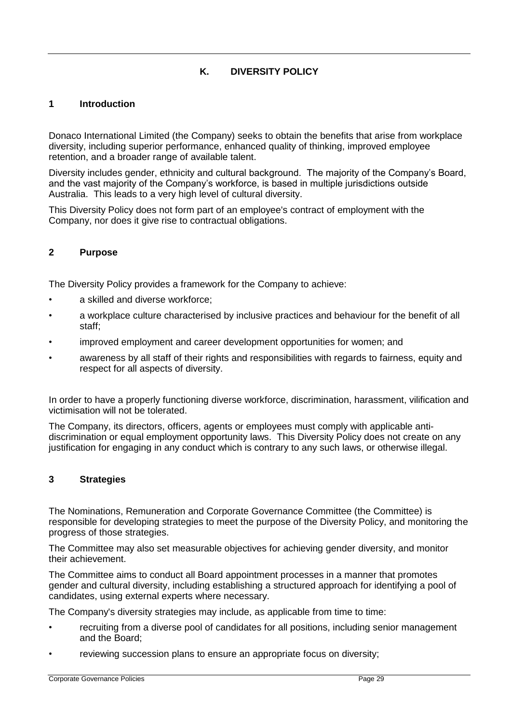# **K. DIVERSITY POLICY**

#### **1 Introduction**

Donaco International Limited (the Company) seeks to obtain the benefits that arise from workplace diversity, including superior performance, enhanced quality of thinking, improved employee retention, and a broader range of available talent.

Diversity includes gender, ethnicity and cultural background. The majority of the Company's Board, and the vast majority of the Company's workforce, is based in multiple jurisdictions outside Australia. This leads to a very high level of cultural diversity.

This Diversity Policy does not form part of an employee's contract of employment with the Company, nor does it give rise to contractual obligations.

# **2 Purpose**

The Diversity Policy provides a framework for the Company to achieve:

- a skilled and diverse workforce;
- a workplace culture characterised by inclusive practices and behaviour for the benefit of all staff;
- improved employment and career development opportunities for women; and
- awareness by all staff of their rights and responsibilities with regards to fairness, equity and respect for all aspects of diversity.

In order to have a properly functioning diverse workforce, discrimination, harassment, vilification and victimisation will not be tolerated.

The Company, its directors, officers, agents or employees must comply with applicable antidiscrimination or equal employment opportunity laws. This Diversity Policy does not create on any justification for engaging in any conduct which is contrary to any such laws, or otherwise illegal.

#### **3 Strategies**

The Nominations, Remuneration and Corporate Governance Committee (the Committee) is responsible for developing strategies to meet the purpose of the Diversity Policy, and monitoring the progress of those strategies.

The Committee may also set measurable objectives for achieving gender diversity, and monitor their achievement.

The Committee aims to conduct all Board appointment processes in a manner that promotes gender and cultural diversity, including establishing a structured approach for identifying a pool of candidates, using external experts where necessary.

The Company's diversity strategies may include, as applicable from time to time:

- recruiting from a diverse pool of candidates for all positions, including senior management and the Board;
- reviewing succession plans to ensure an appropriate focus on diversity;